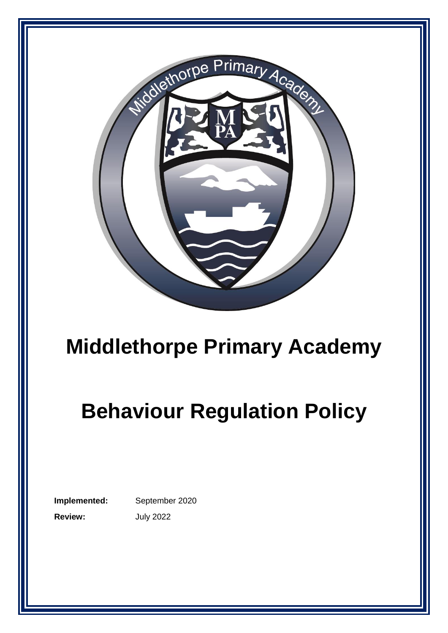

## **Middlethorpe Primary Academy**

# **Behaviour Regulation Policy**

**Implemented:** September 2020 **Review:** July 2022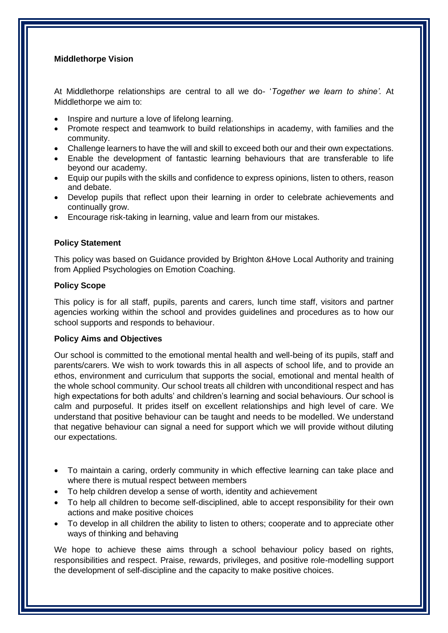## **Middlethorpe Vision**

At Middlethorpe relationships are central to all we do- '*Together we learn to shine'.* At Middlethorpe we aim to:

- Inspire and nurture a love of lifelong learning.
- Promote respect and teamwork to build relationships in academy, with families and the community.
- Challenge learners to have the will and skill to exceed both our and their own expectations.
- Enable the development of fantastic learning behaviours that are transferable to life beyond our academy.
- Equip our pupils with the skills and confidence to express opinions, listen to others, reason and debate.
- Develop pupils that reflect upon their learning in order to celebrate achievements and continually grow.
- Encourage risk-taking in learning, value and learn from our mistakes.

#### **Policy Statement**

This policy was based on Guidance provided by Brighton &Hove Local Authority and training from Applied Psychologies on Emotion Coaching.

#### **Policy Scope**

This policy is for all staff, pupils, parents and carers, lunch time staff, visitors and partner agencies working within the school and provides guidelines and procedures as to how our school supports and responds to behaviour.

#### **Policy Aims and Objectives**

Our school is committed to the emotional mental health and well-being of its pupils, staff and parents/carers. We wish to work towards this in all aspects of school life, and to provide an ethos, environment and curriculum that supports the social, emotional and mental health of the whole school community. Our school treats all children with unconditional respect and has high expectations for both adults' and children's learning and social behaviours. Our school is calm and purposeful. It prides itself on excellent relationships and high level of care. We understand that positive behaviour can be taught and needs to be modelled. We understand that negative behaviour can signal a need for support which we will provide without diluting our expectations.

- To maintain a caring, orderly community in which effective learning can take place and where there is mutual respect between members
- To help children develop a sense of worth, identity and achievement
- To help all children to become self-disciplined, able to accept responsibility for their own actions and make positive choices
- To develop in all children the ability to listen to others; cooperate and to appreciate other ways of thinking and behaving

We hope to achieve these aims through a school behaviour policy based on rights, responsibilities and respect. Praise, rewards, privileges, and positive role-modelling support the development of self-discipline and the capacity to make positive choices.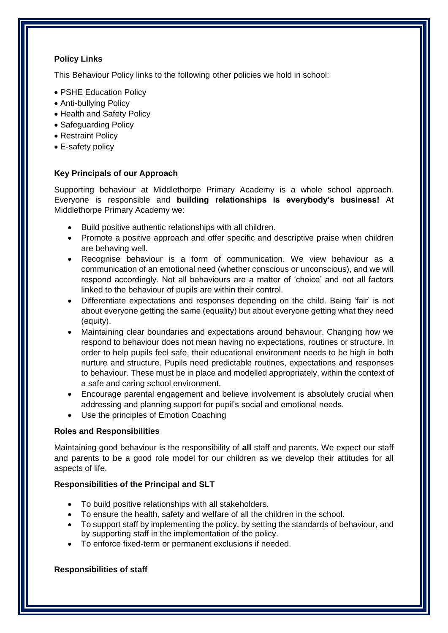## **Policy Links**

This Behaviour Policy links to the following other policies we hold in school:

- PSHE Education Policy
- Anti-bullying Policy
- Health and Safety Policy
- Safeguarding Policy
- Restraint Policy
- E-safety policy

## **Key Principals of our Approach**

Supporting behaviour at Middlethorpe Primary Academy is a whole school approach. Everyone is responsible and **building relationships is everybody's business!** At Middlethorpe Primary Academy we:

- Build positive authentic relationships with all children.
- Promote a positive approach and offer specific and descriptive praise when children are behaving well.
- Recognise behaviour is a form of communication. We view behaviour as a communication of an emotional need (whether conscious or unconscious), and we will respond accordingly. Not all behaviours are a matter of 'choice' and not all factors linked to the behaviour of pupils are within their control.
- Differentiate expectations and responses depending on the child. Being 'fair' is not about everyone getting the same (equality) but about everyone getting what they need (equity).
- Maintaining clear boundaries and expectations around behaviour. Changing how we respond to behaviour does not mean having no expectations, routines or structure. In order to help pupils feel safe, their educational environment needs to be high in both nurture and structure. Pupils need predictable routines, expectations and responses to behaviour. These must be in place and modelled appropriately, within the context of a safe and caring school environment.
- Encourage parental engagement and believe involvement is absolutely crucial when addressing and planning support for pupil's social and emotional needs.
- Use the principles of Emotion Coaching

## **Roles and Responsibilities**

Maintaining good behaviour is the responsibility of **all** staff and parents. We expect our staff and parents to be a good role model for our children as we develop their attitudes for all aspects of life.

## **Responsibilities of the Principal and SLT**

- To build positive relationships with all stakeholders.
- To ensure the health, safety and welfare of all the children in the school.
- To support staff by implementing the policy, by setting the standards of behaviour, and by supporting staff in the implementation of the policy.
- To enforce fixed-term or permanent exclusions if needed.

## **Responsibilities of staff**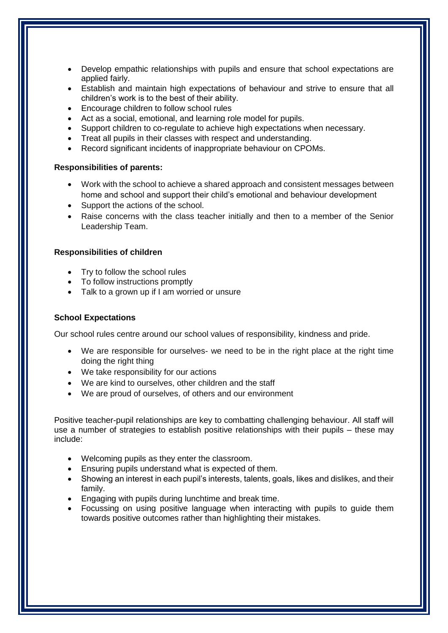- Develop empathic relationships with pupils and ensure that school expectations are applied fairly.
- Establish and maintain high expectations of behaviour and strive to ensure that all children's work is to the best of their ability.
- Encourage children to follow school rules
- Act as a social, emotional, and learning role model for pupils.
- Support children to co-regulate to achieve high expectations when necessary.
- Treat all pupils in their classes with respect and understanding.
- Record significant incidents of inappropriate behaviour on CPOMs.

## **Responsibilities of parents:**

- Work with the school to achieve a shared approach and consistent messages between home and school and support their child's emotional and behaviour development
- Support the actions of the school.
- Raise concerns with the class teacher initially and then to a member of the Senior Leadership Team.

## **Responsibilities of children**

- Try to follow the school rules
- To follow instructions promptly
- Talk to a grown up if I am worried or unsure

## **School Expectations**

Our school rules centre around our school values of responsibility, kindness and pride.

- We are responsible for ourselves- we need to be in the right place at the right time doing the right thing
- We take responsibility for our actions
- We are kind to ourselves, other children and the staff
- We are proud of ourselves, of others and our environment

Positive teacher-pupil relationships are key to combatting challenging behaviour. All staff will use a number of strategies to establish positive relationships with their pupils – these may include:

- Welcoming pupils as they enter the classroom.
- Ensuring pupils understand what is expected of them.
- Showing an interest in each pupil's interests, talents, goals, likes and dislikes, and their family.
- Engaging with pupils during lunchtime and break time.
- Focussing on using positive language when interacting with pupils to guide them towards positive outcomes rather than highlighting their mistakes.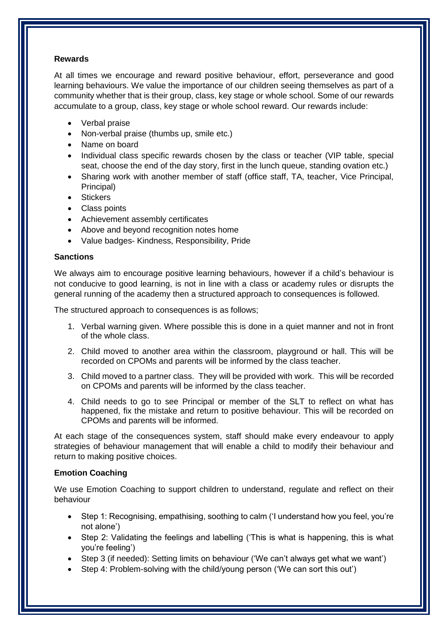## **Rewards**

At all times we encourage and reward positive behaviour, effort, perseverance and good learning behaviours. We value the importance of our children seeing themselves as part of a community whether that is their group, class, key stage or whole school. Some of our rewards accumulate to a group, class, key stage or whole school reward. Our rewards include:

- Verbal praise
- Non-verbal praise (thumbs up, smile etc.)
- Name on board
- Individual class specific rewards chosen by the class or teacher (VIP table, special seat, choose the end of the day story, first in the lunch queue, standing ovation etc.)
- Sharing work with another member of staff (office staff, TA, teacher, Vice Principal, Principal)
- Stickers
- Class points
- Achievement assembly certificates
- Above and beyond recognition notes home
- Value badges- Kindness, Responsibility, Pride

#### **Sanctions**

We always aim to encourage positive learning behaviours, however if a child's behaviour is not conducive to good learning, is not in line with a class or academy rules or disrupts the general running of the academy then a structured approach to consequences is followed.

The structured approach to consequences is as follows;

- 1. Verbal warning given. Where possible this is done in a quiet manner and not in front of the whole class.
- 2. Child moved to another area within the classroom, playground or hall. This will be recorded on CPOMs and parents will be informed by the class teacher.
- 3. Child moved to a partner class. They will be provided with work. This will be recorded on CPOMs and parents will be informed by the class teacher.
- 4. Child needs to go to see Principal or member of the SLT to reflect on what has happened, fix the mistake and return to positive behaviour. This will be recorded on CPOMs and parents will be informed.

At each stage of the consequences system, staff should make every endeavour to apply strategies of behaviour management that will enable a child to modify their behaviour and return to making positive choices.

#### **Emotion Coaching**

We use Emotion Coaching to support children to understand, regulate and reflect on their behaviour

- Step 1: Recognising, empathising, soothing to calm ('I understand how you feel, you're not alone')
- Step 2: Validating the feelings and labelling ('This is what is happening, this is what you're feeling')
- Step 3 (if needed): Setting limits on behaviour ('We can't always get what we want')
- Step 4: Problem-solving with the child/young person ('We can sort this out')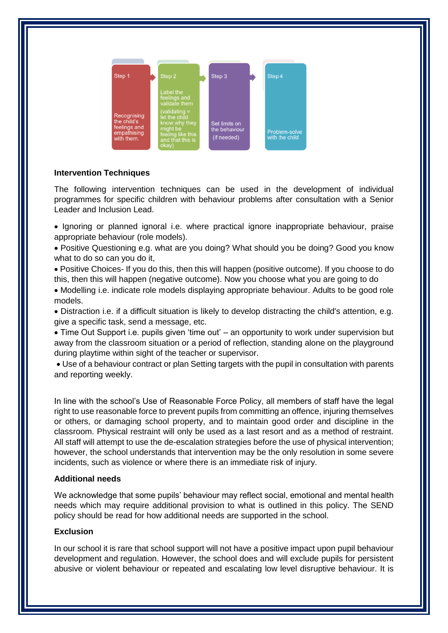

## **Intervention Techniques**

The following intervention techniques can be used in the development of individual programmes for specific children with behaviour problems after consultation with a Senior Leader and Inclusion Lead.

• Ignoring or planned ignoral i.e. where practical ignore inappropriate behaviour, praise appropriate behaviour (role models).

 Positive Questioning e.g. what are you doing? What should you be doing? Good you know what to do so can you do it,

 Positive Choices- If you do this, then this will happen (positive outcome). If you choose to do this, then this will happen (negative outcome). Now you choose what you are going to do

 Modelling i.e. indicate role models displaying appropriate behaviour. Adults to be good role models.

 Distraction i.e. if a difficult situation is likely to develop distracting the child's attention, e.g. give a specific task, send a message, etc.

 Time Out Support i.e. pupils given 'time out' – an opportunity to work under supervision but away from the classroom situation or a period of reflection, standing alone on the playground during playtime within sight of the teacher or supervisor.

 Use of a behaviour contract or plan Setting targets with the pupil in consultation with parents and reporting weekly.

In line with the school's Use of Reasonable Force Policy, all members of staff have the legal right to use reasonable force to prevent pupils from committing an offence, injuring themselves or others, or damaging school property, and to maintain good order and discipline in the classroom. Physical restraint will only be used as a last resort and as a method of restraint. All staff will attempt to use the de-escalation strategies before the use of physical intervention; however, the school understands that intervention may be the only resolution in some severe incidents, such as violence or where there is an immediate risk of injury.

#### **Additional needs**

We acknowledge that some pupils' behaviour may reflect social, emotional and mental health needs which may require additional provision to what is outlined in this policy. The SEND policy should be read for how additional needs are supported in the school.

## **Exclusion**

In our school it is rare that school support will not have a positive impact upon pupil behaviour development and regulation. However, the school does and will exclude pupils for persistent abusive or violent behaviour or repeated and escalating low level disruptive behaviour. It is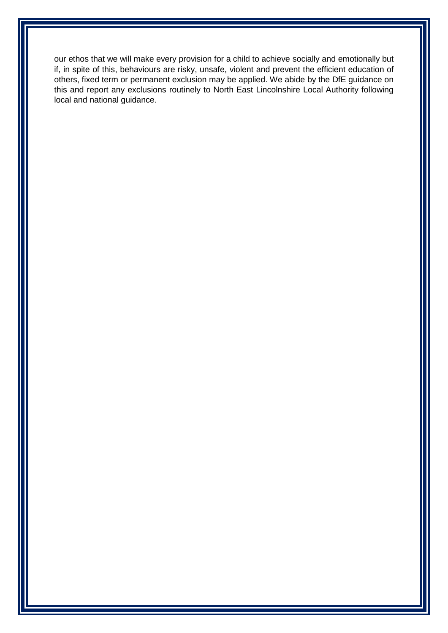our ethos that we will make every provision for a child to achieve socially and emotionally but if, in spite of this, behaviours are risky, unsafe, violent and prevent the efficient education of others, fixed term or permanent exclusion may be applied. We abide by the DfE guidance on this and report any exclusions routinely to North East Lincolnshire Local Authority following local and national guidance.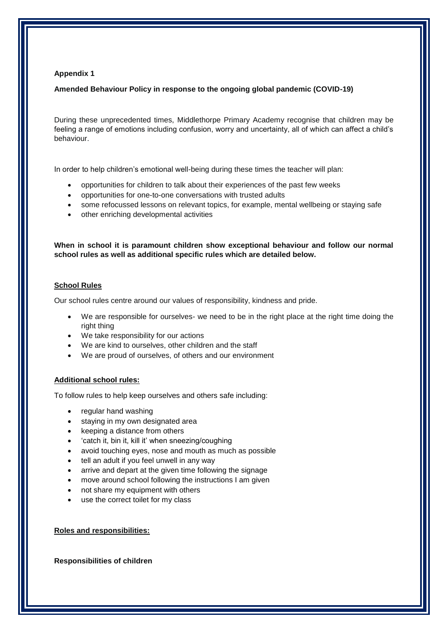#### **Appendix 1**

#### **Amended Behaviour Policy in response to the ongoing global pandemic (COVID-19)**

During these unprecedented times, Middlethorpe Primary Academy recognise that children may be feeling a range of emotions including confusion, worry and uncertainty, all of which can affect a child's behaviour.

In order to help children's emotional well-being during these times the teacher will plan:

- opportunities for children to talk about their experiences of the past few weeks
- opportunities for one-to-one conversations with trusted adults
- some refocussed lessons on relevant topics, for example, mental wellbeing or staying safe
- other enriching developmental activities

**When in school it is paramount children show exceptional behaviour and follow our normal school rules as well as additional specific rules which are detailed below.**

#### **School Rules**

Our school rules centre around our values of responsibility, kindness and pride.

- We are responsible for ourselves- we need to be in the right place at the right time doing the right thing
- We take responsibility for our actions
- We are kind to ourselves, other children and the staff
- We are proud of ourselves, of others and our environment

#### **Additional school rules:**

To follow rules to help keep ourselves and others safe including:

- regular hand washing
- staying in my own designated area
- keeping a distance from others
- 'catch it, bin it, kill it' when sneezing/coughing
- avoid touching eyes, nose and mouth as much as possible
- tell an adult if you feel unwell in any way
- arrive and depart at the given time following the signage
- move around school following the instructions I am given
- not share my equipment with others
- use the correct toilet for my class

#### **Roles and responsibilities:**

**Responsibilities of children**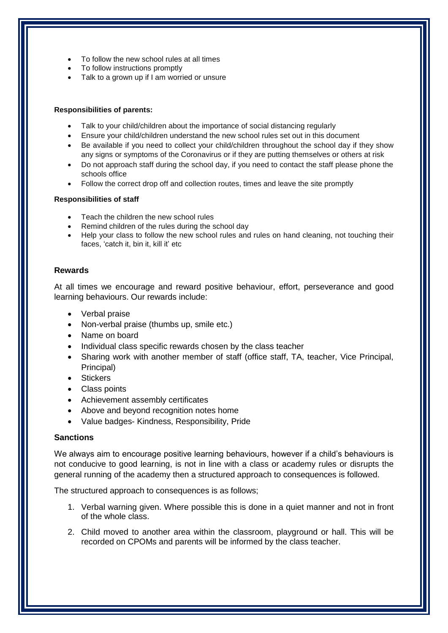- To follow the new school rules at all times
- To follow instructions promptly
- Talk to a grown up if I am worried or unsure

#### **Responsibilities of parents:**

- Talk to your child/children about the importance of social distancing regularly
- Ensure your child/children understand the new school rules set out in this document
- Be available if you need to collect your child/children throughout the school day if they show any signs or symptoms of the Coronavirus or if they are putting themselves or others at risk
- Do not approach staff during the school day, if you need to contact the staff please phone the schools office
- Follow the correct drop off and collection routes, times and leave the site promptly

#### **Responsibilities of staff**

- Teach the children the new school rules
- Remind children of the rules during the school day
- Help your class to follow the new school rules and rules on hand cleaning, not touching their faces, 'catch it, bin it, kill it' etc

## **Rewards**

At all times we encourage and reward positive behaviour, effort, perseverance and good learning behaviours. Our rewards include:

- Verbal praise
- Non-verbal praise (thumbs up, smile etc.)
- Name on board
- Individual class specific rewards chosen by the class teacher
- Sharing work with another member of staff (office staff, TA, teacher, Vice Principal, Principal)
- Stickers
- Class points
- Achievement assembly certificates
- Above and beyond recognition notes home
- Value badges- Kindness, Responsibility, Pride

## **Sanctions**

We always aim to encourage positive learning behaviours, however if a child's behaviours is not conducive to good learning, is not in line with a class or academy rules or disrupts the general running of the academy then a structured approach to consequences is followed.

The structured approach to consequences is as follows;

- 1. Verbal warning given. Where possible this is done in a quiet manner and not in front of the whole class.
- 2. Child moved to another area within the classroom, playground or hall. This will be recorded on CPOMs and parents will be informed by the class teacher.